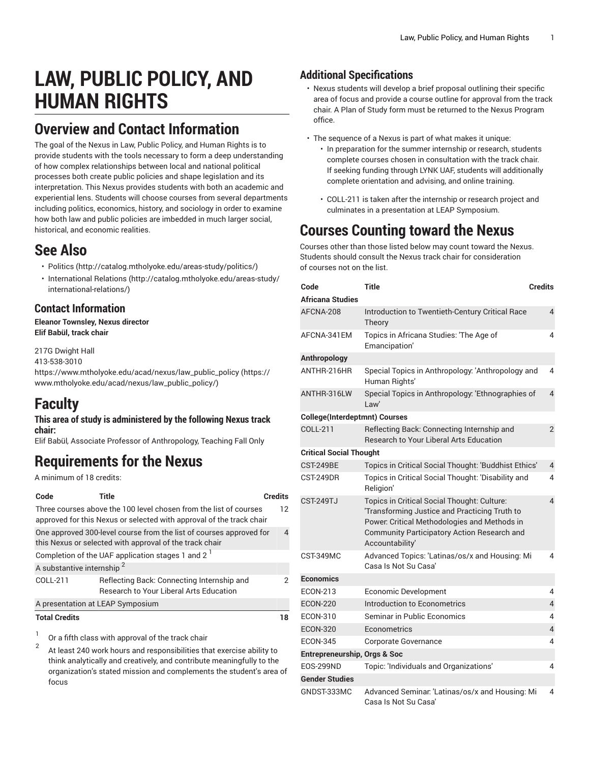# **LAW, PUBLIC POLICY, AND HUMAN RIGHTS**

#### **Overview and Contact Information**

The goal of the Nexus in Law, Public Policy, and Human Rights is to provide students with the tools necessary to form a deep understanding of how complex relationships between local and national political processes both create public policies and shape legislation and its interpretation. This Nexus provides students with both an academic and experiential lens. Students will choose courses from several departments including politics, economics, history, and sociology in order to examine how both law and public policies are imbedded in much larger social. historical, and economic realities.

#### **See Also**

- [Politics \(http://catalog.mtholyoke.edu/areas-study/politics/](http://catalog.mtholyoke.edu/areas-study/politics/))
- [International Relations \(http://catalog.mtholyoke.edu/areas-study/](http://catalog.mtholyoke.edu/areas-study/international-relations/) [international-relations/](http://catalog.mtholyoke.edu/areas-study/international-relations/))

#### **Contact Information**

**Eleanor Townsley, Nexus director Elif Babül, track chair**

217G Dwight Hall 413-538-3010 [https://www.mtholyoke.edu/acad/nexus/law\\_public\\_policy](https://www.mtholyoke.edu/acad/nexus/law_public_policy/) ([https://](https://www.mtholyoke.edu/acad/nexus/law_public_policy/) [www.mtholyoke.edu/acad/nexus/law\\_public\\_policy/](https://www.mtholyoke.edu/acad/nexus/law_public_policy/))

### **Faculty**

#### **This area of study is administered by the following Nexus track chair:**

Elif Babül*,* Associate Professor of Anthropology, Teaching Fall Only

# **Requirements for the Nexus**

A minimum of 18 credits:

| Code                                                                                                                           | Title                                                                                                                                     | <b>Credits</b> |  |
|--------------------------------------------------------------------------------------------------------------------------------|-------------------------------------------------------------------------------------------------------------------------------------------|----------------|--|
|                                                                                                                                | Three courses above the 100 level chosen from the list of courses<br>approved for this Nexus or selected with approval of the track chair | 12             |  |
| One approved 300-level course from the list of courses approved for<br>this Nexus or selected with approval of the track chair |                                                                                                                                           |                |  |
| Completion of the UAF application stages 1 and 2 <sup>1</sup>                                                                  |                                                                                                                                           |                |  |
| A substantive internship <sup>2</sup>                                                                                          |                                                                                                                                           |                |  |
| COLL-211                                                                                                                       | Reflecting Back: Connecting Internship and<br><b>Research to Your Liberal Arts Education</b>                                              | 2              |  |
| A presentation at LEAP Symposium                                                                                               |                                                                                                                                           |                |  |
| <b>Total Credits</b>                                                                                                           |                                                                                                                                           | 18             |  |
|                                                                                                                                | And Club also a solute comment of the two deals to                                                                                        |                |  |

Or a fifth class with approval of the track chair

2 At least 240 work hours and responsibilities that exercise ability to think analytically and creatively, and contribute meaningfully to the organization's stated mission and complements the student's area of focus

#### **Additional Specifications**

- Nexus students will develop a brief proposal outlining their specific area of focus and provide a course outline for approval from the track chair. A Plan of Study form must be returned to the Nexus Program office.
- The sequence of a Nexus is part of what makes it unique:
	- In preparation for the summer internship or research, students complete courses chosen in consultation with the track chair. If seeking funding through LYNK UAF, students will additionally complete orientation and advising, and online training.
	- COLL-211 is taken after the internship or research project and culminates in a presentation at LEAP Symposium.

# **Courses Counting toward the Nexus**

Courses other than those listed below may count toward the Nexus. Students should consult the Nexus track chair for consideration of courses not on the list.

| Code                                    | <b>Title</b>                                                                                                                                                                                                  | <b>Credits</b> |  |  |
|-----------------------------------------|---------------------------------------------------------------------------------------------------------------------------------------------------------------------------------------------------------------|----------------|--|--|
| Africana Studies                        |                                                                                                                                                                                                               |                |  |  |
| AFCNA-208                               | Introduction to Twentieth-Century Critical Race<br>Theory                                                                                                                                                     | $\overline{4}$ |  |  |
| AFCNA-341EM                             | Topics in Africana Studies: 'The Age of<br>Emancipation'                                                                                                                                                      | 4              |  |  |
| Anthropology                            |                                                                                                                                                                                                               |                |  |  |
| ANTHR-216HR                             | Special Topics in Anthropology: 'Anthropology and<br>Human Rights'                                                                                                                                            | 4              |  |  |
| ANTHR-316LW                             | Special Topics in Anthropology: 'Ethnographies of<br>l aw'                                                                                                                                                    | $\overline{4}$ |  |  |
| <b>College(Interdeptmnt) Courses</b>    |                                                                                                                                                                                                               |                |  |  |
| COLL-211                                | Reflecting Back: Connecting Internship and<br><b>Research to Your Liberal Arts Education</b>                                                                                                                  | $\overline{2}$ |  |  |
| <b>Critical Social Thought</b>          |                                                                                                                                                                                                               |                |  |  |
| CST-249BE                               | Topics in Critical Social Thought: 'Buddhist Ethics'                                                                                                                                                          | $\overline{4}$ |  |  |
| CST-249DR                               | Topics in Critical Social Thought: 'Disability and<br>Religion'                                                                                                                                               | 4              |  |  |
| <b>CST-249TJ</b>                        | Topics in Critical Social Thought: Culture:<br>Transforming Justice and Practicing Truth to<br>Power: Critical Methodologies and Methods in<br>Community Participatory Action Research and<br>Accountability' | 4              |  |  |
| CST-349MC                               | Advanced Topics: 'Latinas/os/x and Housing: Mi<br>Casa Is Not Su Casa'                                                                                                                                        | 4              |  |  |
| <b>Economics</b>                        |                                                                                                                                                                                                               |                |  |  |
| <b>ECON-213</b>                         | <b>Economic Development</b>                                                                                                                                                                                   | 4              |  |  |
| <b>ECON-220</b>                         | Introduction to Econometrics                                                                                                                                                                                  | 4              |  |  |
| <b>ECON-310</b>                         | Seminar in Public Economics                                                                                                                                                                                   | 4              |  |  |
| <b>ECON-320</b>                         | Econometrics                                                                                                                                                                                                  | $\overline{4}$ |  |  |
| <b>ECON-345</b>                         | Corporate Governance                                                                                                                                                                                          | 4              |  |  |
| <b>Entrepreneurship, Orgs &amp; Soc</b> |                                                                                                                                                                                                               |                |  |  |
| <b>EOS-299ND</b>                        | Topic: 'Individuals and Organizations'                                                                                                                                                                        | 4              |  |  |
| <b>Gender Studies</b>                   |                                                                                                                                                                                                               |                |  |  |
| GNDST-333MC                             | Advanced Seminar. 'Latinas/os/x and Housing: Mi<br>Casa Is Not Su Casa'                                                                                                                                       | 4              |  |  |